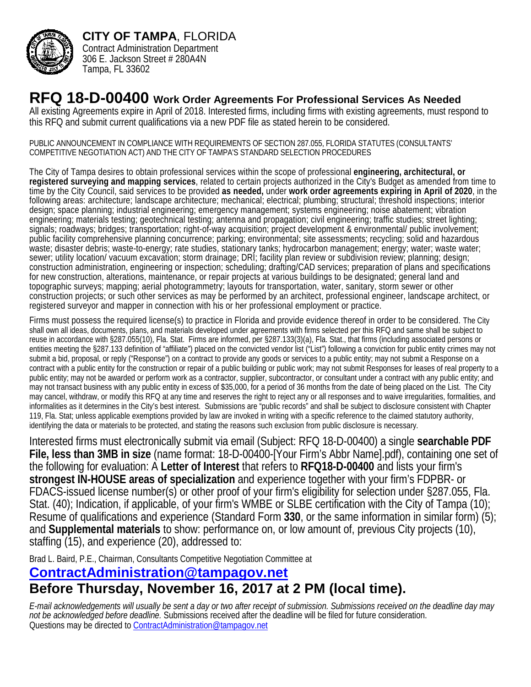

**CITY OF TAMPA**, FLORIDA Contract Administration Department 306 E. Jackson Street # 280A4N Tampa, FL 33602

## **RFQ 18-D-00400 Work Order Agreements For Professional Services As Needed**

All existing Agreements expire in April of 2018. Interested firms, including firms with existing agreements, must respond to this RFQ and submit current qualifications via a new PDF file as stated herein to be considered.

PUBLIC ANNOUNCEMENT IN COMPLIANCE WITH REQUIREMENTS OF SECTION 287.055, FLORIDA STATUTES (CONSULTANTS' COMPETITIVE NEGOTIATION ACT) AND THE CITY OF TAMPA'S STANDARD SELECTION PROCEDURES

The City of Tampa desires to obtain professional services within the scope of professional **engineering, architectural, or registered surveying and mapping services**, related to certain projects authorized in the City's Budget as amended from time to time by the City Council, said services to be provided **as needed,** under **work order agreements expiring in April of 2020**, in the following areas: architecture; landscape architecture; mechanical; electrical; plumbing; structural; threshold inspections; interior design; space planning; industrial engineering; emergency management; systems engineering; noise abatement; vibration engineering; materials testing; geotechnical testing; antenna and propagation; civil engineering; traffic studies; street lighting; signals; roadways; bridges; transportation; right-of-way acquisition; project development & environmental/ public involvement; public facility comprehensive planning concurrence; parking; environmental; site assessments; recycling; solid and hazardous waste; disaster debris; waste-to-energy; rate studies, stationary tanks; hydrocarbon management; energy; water; waste water; sewer; utility location/ vacuum excavation; storm drainage; DRI; facility plan review or subdivision review; planning; design; construction administration, engineering or inspection; scheduling; drafting/CAD services; preparation of plans and specifications for new construction, alterations, maintenance, or repair projects at various buildings to be designated; general land and topographic surveys; mapping; aerial photogrammetry; layouts for transportation, water, sanitary, storm sewer or other construction projects; or such other services as may be performed by an architect, professional engineer, landscape architect, or registered surveyor and mapper in connection with his or her professional employment or practice.

Firms must possess the required license(s) to practice in Florida and provide evidence thereof in order to be considered. The City shall own all ideas, documents, plans, and materials developed under agreements with firms selected per this RFQ and same shall be subject to reuse in accordance with §287.055(10), Fla. Stat. Firms are informed, per §287.133(3)(a), Fla. Stat., that firms (including associated persons or entities meeting the §287.133 definition of "affiliate") placed on the convicted vendor list ("List") following a conviction for public entity crimes may not submit a bid, proposal, or reply ("Response") on a contract to provide any goods or services to a public entity; may not submit a Response on a contract with a public entity for the construction or repair of a public building or public work; may not submit Responses for leases of real property to a public entity; may not be awarded or perform work as a contractor, supplier, subcontractor, or consultant under a contract with any public entity; and may not transact business with any public entity in excess of \$35,000, for a period of 36 months from the date of being placed on the List. The City may cancel, withdraw, or modify this RFQ at any time and reserves the right to reject any or all responses and to waive irregularities, formalities, and informalities as it determines in the City's best interest. Submissions are "public records" and shall be subject to disclosure consistent with Chapter 119, Fla. Stat; unless applicable exemptions provided by law are invoked in writing with a specific reference to the claimed statutory authority, identifying the data or materials to be protected, and stating the reasons such exclusion from public disclosure is necessary.

Interested firms must electronically submit via email (Subject: RFQ 18-D-00400) a single **searchable PDF File, less than 3MB in size** (name format: 18-D-00400-[Your Firm's Abbr Name].pdf), containing one set of the following for evaluation: A **Letter of Interest** that refers to **RFQ18-D-00400** and lists your firm's **strongest IN-HOUSE areas of specialization** and experience together with your firm's FDPBR- or FDACS-issued license number(s) or other proof of your firm's eligibility for selection under §287.055, Fla. Stat. (40); Indication, if applicable, of your firm's WMBE or SLBE certification with the City of Tampa (10); Resume of qualifications and experience (Standard Form **330**, or the same information in similar form) (5); and **Supplemental materials** to show: performance on, or low amount of, previous City projects (10), staffing (15), and experience (20), addressed to:

Brad L. Baird, P.E., Chairman, Consultants Competitive Negotiation Committee at

## **ContractAdministration@tampagov.net Before Thursday, November 16, 2017 at 2 PM (local time).**

*E-mail acknowledgements will usually be sent a day or two after receipt of submission. Submissions received on the deadline day may not be acknowledged before deadline.* Submissions received after the deadline will be filed for future consideration. Questions may be directed to ContractAdministration@tampagov.net